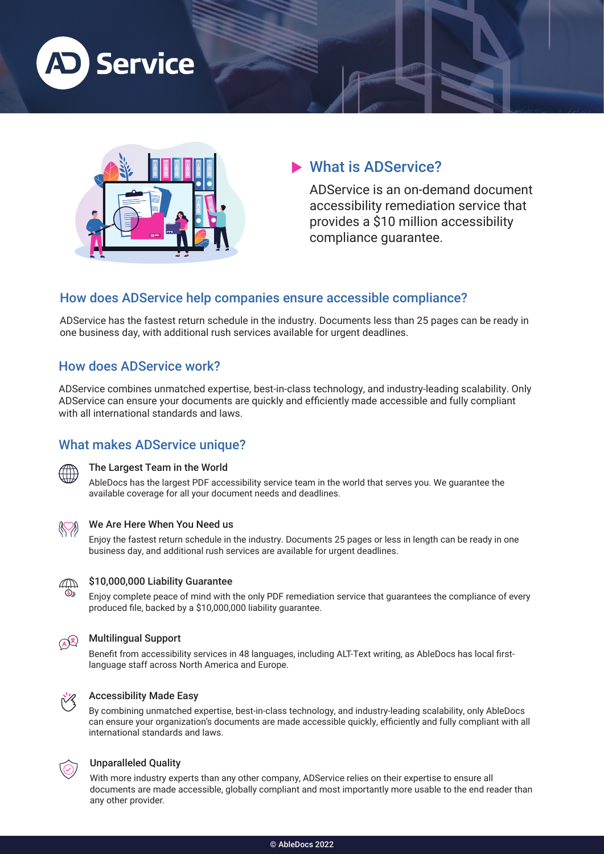



# What is ADService?

ADService is an on-demand document accessibility remediation service that provides a \$10 million accessibility compliance guarantee.

### How does ADService help companies ensure accessible compliance?

ADService has the fastest return schedule in the industry. Documents less than 25 pages can be ready in one business day, with additional rush services available for urgent deadlines.

### How does ADService work?

ADService combines unmatched expertise, best-in-class technology, and industry-leading scalability. Only ADService can ensure your documents are quickly and efficiently made accessible and fully compliant with all international standards and laws.

# What makes ADService unique?



#### The Largest Team in the World

AbleDocs has the largest PDF accessibility service team in the world that serves you. We guarantee the available coverage for all your document needs and deadlines.



#### We Are Here When You Need us

Enjoy the fastest return schedule in the industry. Documents 25 pages or less in length can be ready in one business day, and additional rush services are available for urgent deadlines.



#### \$10,000,000 Liability Guarantee

Enjoy complete peace of mind with the only PDF remediation service that guarantees the compliance of every produced file, backed by a \$10,000,000 liability guarantee.



#### Multilingual Support

Benefit from accessibility services in 48 languages, including ALT-Text writing, as AbleDocs has local firstlanguage staff across North America and Europe.



#### Accessibility Made Easy

By combining unmatched expertise, best-in-class technology, and industry-leading scalability, only AbleDocs can ensure your organization's documents are made accessible quickly, efficiently and fully compliant with all international standards and laws.



#### Unparalleled Quality

With more industry experts than any other company, ADService relies on their expertise to ensure all documents are made accessible, globally compliant and most importantly more usable to the end reader than any other provider.